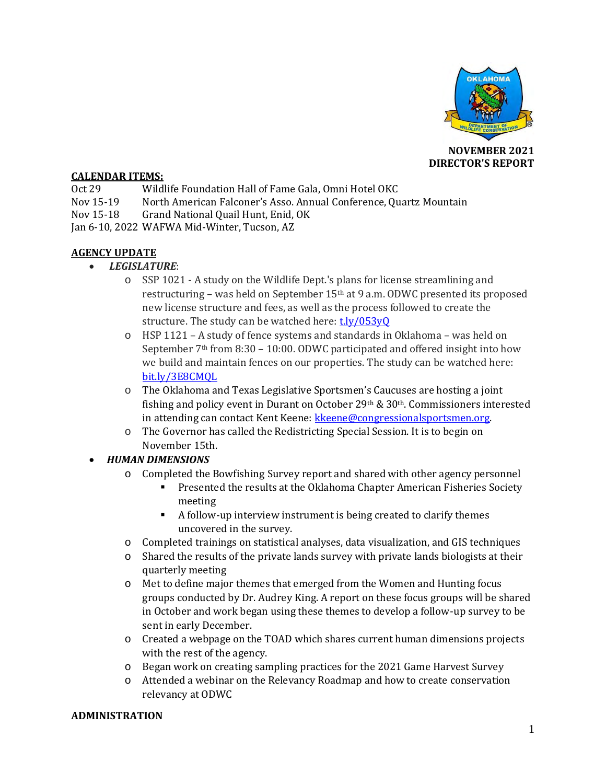

**NOVEMBER 2021 DIRECTOR'S REPORT**

#### **CALENDAR ITEMS:**

- Oct 29 Wildlife Foundation Hall of Fame Gala, Omni Hotel OKC
- Nov 15-19 North American Falconer's Asso. Annual Conference, Quartz Mountain
- Nov 15-18 Grand National Quail Hunt, Enid, OK

Jan 6-10, 2022 WAFWA Mid-Winter, Tucson, AZ

# **AGENCY UPDATE**

- *LEGISLATURE*:
	- o SSP 1021 A study on the Wildlife Dept.'s plans for license streamlining and restructuring – was held on September 15th at 9 a.m. ODWC presented its proposed new license structure and fees, as well as the process followed to create the structure. The study can be watched here: t.ly/053yO
	- o HSP 1121 A study of fence systems and standards in Oklahoma was held on September 7<sup>th</sup> from 8:30 – 10:00. ODWC participated and offered insight into how we build and maintain fences on our properties. The study can be watched here: [bit.ly/3E8CMQL](https://bit.ly/3E8CMQL)
	- o The Oklahoma and Texas Legislative Sportsmen's Caucuses are hosting a joint fishing and policy event in Durant on October 29<sup>th</sup> &  $30<sup>th</sup>$ . Commissioners interested in attending can contact Kent Keene: [kkeene@congressionalsportsmen.org.](mailto:kkeene@congressionalsportsmen.org)
	- o The Governor has called the Redistricting Special Session. It is to begin on November 15th.

# • *HUMAN DIMENSIONS*

- o Completed the Bowfishing Survey report and shared with other agency personnel
	- Presented the results at the Oklahoma Chapter American Fisheries Society meeting
	- A follow-up interview instrument is being created to clarify themes uncovered in the survey.
- o Completed trainings on statistical analyses, data visualization, and GIS techniques
- o Shared the results of the private lands survey with private lands biologists at their quarterly meeting
- o Met to define major themes that emerged from the Women and Hunting focus groups conducted by Dr. Audrey King. A report on these focus groups will be shared in October and work began using these themes to develop a follow-up survey to be sent in early December.
- o Created a webpage on the TOAD which shares current human dimensions projects with the rest of the agency.
- o Began work on creating sampling practices for the 2021 Game Harvest Survey
- o Attended a webinar on the Relevancy Roadmap and how to create conservation relevancy at ODWC

#### **ADMINISTRATION**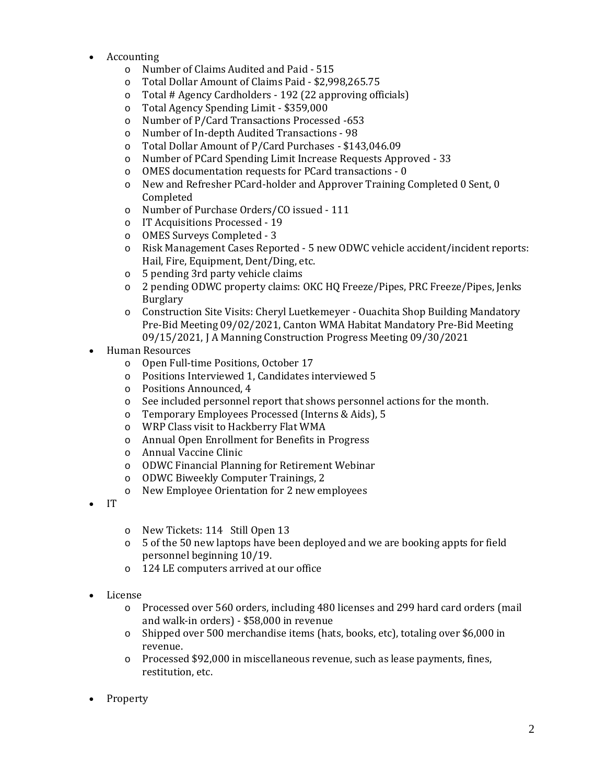- Accounting
	- o Number of Claims Audited and Paid 515
	- o Total Dollar Amount of Claims Paid \$2,998,265.75
	- o Total # Agency Cardholders 192 (22 approving officials)
	- o Total Agency Spending Limit \$359,000
	- o Number of P/Card Transactions Processed -653
	- o Number of In-depth Audited Transactions 98
	- o Total Dollar Amount of P/Card Purchases \$143,046.09
	- o Number of PCard Spending Limit Increase Requests Approved 33
	- o OMES documentation requests for PCard transactions 0
	- o New and Refresher PCard-holder and Approver Training Completed 0 Sent, 0 Completed
	- o Number of Purchase Orders/CO issued 111
	- o IT Acquisitions Processed 19
	- o OMES Surveys Completed 3
	- o Risk Management Cases Reported 5 new ODWC vehicle accident/incident reports: Hail, Fire, Equipment, Dent/Ding, etc.
	- o 5 pending 3rd party vehicle claims
	- o 2 pending ODWC property claims: OKC HQ Freeze/Pipes, PRC Freeze/Pipes, Jenks Burglary
	- o Construction Site Visits: Cheryl Luetkemeyer Ouachita Shop Building Mandatory Pre-Bid Meeting 09/02/2021, Canton WMA Habitat Mandatory Pre-Bid Meeting 09/15/2021, J A Manning Construction Progress Meeting 09/30/2021
- Human Resources
	- o Open Full-time Positions, October 17
	- o Positions Interviewed 1, Candidates interviewed 5
	- o Positions Announced, 4
	- o See included personnel report that shows personnel actions for the month.
	- o Temporary Employees Processed (Interns & Aids), 5
	- o WRP Class visit to Hackberry Flat WMA
	- o Annual Open Enrollment for Benefits in Progress
	- o Annual Vaccine Clinic
	- o ODWC Financial Planning for Retirement Webinar
	- o ODWC Biweekly Computer Trainings, 2
	- o New Employee Orientation for 2 new employees
- IT
- o New Tickets: 114 Still Open 13
- o 5 of the 50 new laptops have been deployed and we are booking appts for field personnel beginning 10/19.
- o 124 LE computers arrived at our office
- License
	- o Processed over 560 orders, including 480 licenses and 299 hard card orders (mail and walk-in orders) - \$58,000 in revenue
	- o Shipped over 500 merchandise items (hats, books, etc), totaling over \$6,000 in revenue.
	- o Processed \$92,000 in miscellaneous revenue, such as lease payments, fines, restitution, etc.
- Property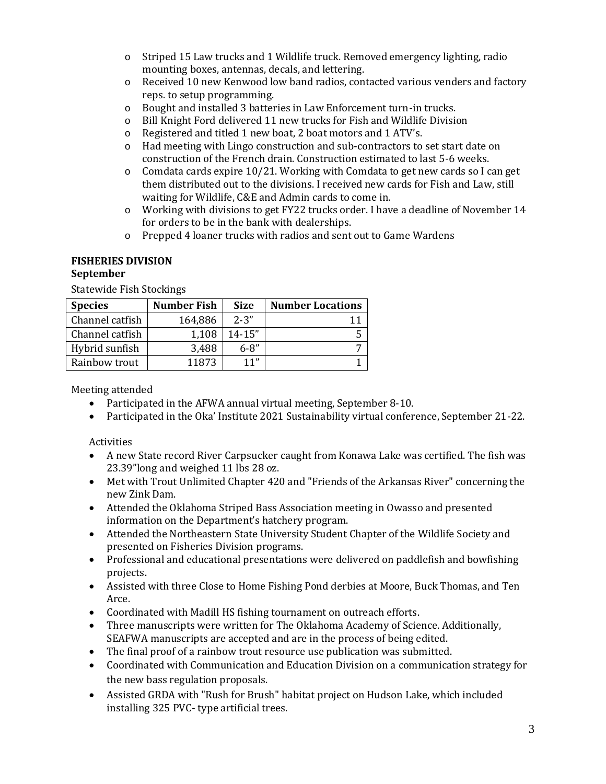- o Striped 15 Law trucks and 1 Wildlife truck. Removed emergency lighting, radio mounting boxes, antennas, decals, and lettering.
- o Received 10 new Kenwood low band radios, contacted various venders and factory reps. to setup programming.
- o Bought and installed 3 batteries in Law Enforcement turn-in trucks.
- o Bill Knight Ford delivered 11 new trucks for Fish and Wildlife Division
- o Registered and titled 1 new boat, 2 boat motors and 1 ATV's.
- o Had meeting with Lingo construction and sub-contractors to set start date on construction of the French drain. Construction estimated to last 5-6 weeks.
- $\circ$  Comdata cards expire 10/21. Working with Comdata to get new cards so I can get them distributed out to the divisions. I received new cards for Fish and Law, still waiting for Wildlife, C&E and Admin cards to come in.
- o Working with divisions to get FY22 trucks order. I have a deadline of November 14 for orders to be in the bank with dealerships.
- o Prepped 4 loaner trucks with radios and sent out to Game Wardens

# **FISHERIES DIVISION**

# **September**

Statewide Fish Stockings

| <b>Species</b>  | Number Fish | <b>Size</b> | <b>Number Locations</b> |
|-----------------|-------------|-------------|-------------------------|
| Channel catfish | 164,886     | $2 - 3''$   |                         |
| Channel catfish | 1,108       | $14 - 15"$  |                         |
| Hybrid sunfish  | 3,488       | $6 - 8''$   |                         |
| Rainbow trout   | 11873       | 11"         |                         |

Meeting attended

- Participated in the AFWA annual virtual meeting, September 8-10.
- Participated in the Oka' Institute 2021 Sustainability virtual conference, September 21-22.

# Activities

- A new State record River Carpsucker caught from Konawa Lake was certified. The fish was 23.39"long and weighed 11 lbs 28 oz.
- Met with Trout Unlimited Chapter 420 and "Friends of the Arkansas River" concerning the new Zink Dam.
- Attended the Oklahoma Striped Bass Association meeting in Owasso and presented information on the Department's hatchery program.
- Attended the Northeastern State University Student Chapter of the Wildlife Society and presented on Fisheries Division programs.
- Professional and educational presentations were delivered on paddlefish and bowfishing projects.
- Assisted with three Close to Home Fishing Pond derbies at Moore, Buck Thomas, and Ten Arce.
- Coordinated with Madill HS fishing tournament on outreach efforts.
- Three manuscripts were written for The Oklahoma Academy of Science. Additionally, SEAFWA manuscripts are accepted and are in the process of being edited.
- The final proof of a rainbow trout resource use publication was submitted.
- Coordinated with Communication and Education Division on a communication strategy for the new bass regulation proposals.
- Assisted GRDA with "Rush for Brush" habitat project on Hudson Lake, which included installing 325 PVC- type artificial trees.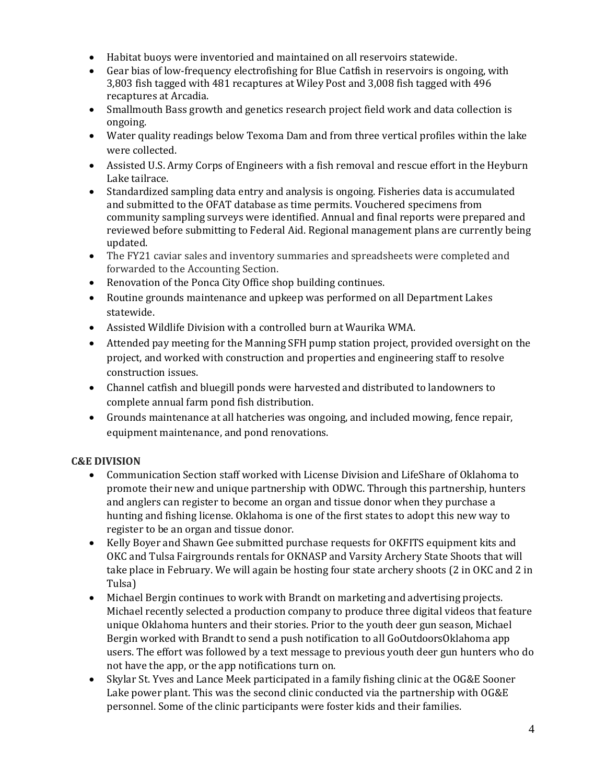- Habitat buoys were inventoried and maintained on all reservoirs statewide.
- Gear bias of low-frequency electrofishing for Blue Catfish in reservoirs is ongoing, with 3,803 fish tagged with 481 recaptures at Wiley Post and 3,008 fish tagged with 496 recaptures at Arcadia.
- Smallmouth Bass growth and genetics research project field work and data collection is ongoing.
- Water quality readings below Texoma Dam and from three vertical profiles within the lake were collected.
- Assisted U.S. Army Corps of Engineers with a fish removal and rescue effort in the Heyburn Lake tailrace.
- Standardized sampling data entry and analysis is ongoing. Fisheries data is accumulated and submitted to the OFAT database as time permits. Vouchered specimens from community sampling surveys were identified. Annual and final reports were prepared and reviewed before submitting to Federal Aid. Regional management plans are currently being updated.
- The FY21 caviar sales and inventory summaries and spreadsheets were completed and forwarded to the Accounting Section.
- Renovation of the Ponca City Office shop building continues.
- Routine grounds maintenance and upkeep was performed on all Department Lakes statewide.
- Assisted Wildlife Division with a controlled burn at Waurika WMA.
- Attended pay meeting for the Manning SFH pump station project, provided oversight on the project, and worked with construction and properties and engineering staff to resolve construction issues.
- Channel catfish and bluegill ponds were harvested and distributed to landowners to complete annual farm pond fish distribution.
- Grounds maintenance at all hatcheries was ongoing, and included mowing, fence repair, equipment maintenance, and pond renovations.

# **C&E DIVISION**

- Communication Section staff worked with License Division and LifeShare of Oklahoma to promote their new and unique partnership with ODWC. Through this partnership, hunters and anglers can register to become an organ and tissue donor when they purchase a hunting and fishing license. Oklahoma is one of the first states to adopt this new way to register to be an organ and tissue donor.
- Kelly Boyer and Shawn Gee submitted purchase requests for OKFITS equipment kits and OKC and Tulsa Fairgrounds rentals for OKNASP and Varsity Archery State Shoots that will take place in February. We will again be hosting four state archery shoots (2 in OKC and 2 in Tulsa)
- Michael Bergin continues to work with Brandt on marketing and advertising projects. Michael recently selected a production company to produce three digital videos that feature unique Oklahoma hunters and their stories. Prior to the youth deer gun season, Michael Bergin worked with Brandt to send a push notification to all GoOutdoorsOklahoma app users. The effort was followed by a text message to previous youth deer gun hunters who do not have the app, or the app notifications turn on.
- Skylar St. Yves and Lance Meek participated in a family fishing clinic at the OG&E Sooner Lake power plant. This was the second clinic conducted via the partnership with OG&E personnel. Some of the clinic participants were foster kids and their families.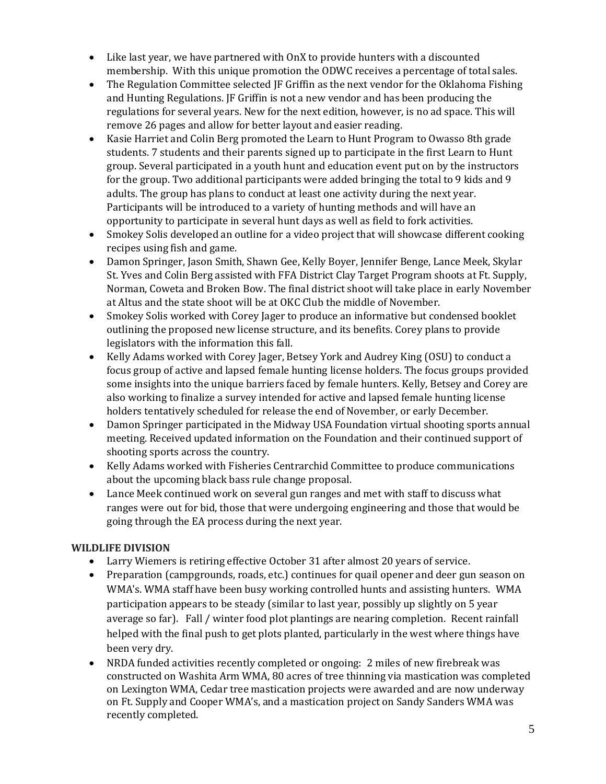- Like last year, we have partnered with OnX to provide hunters with a discounted membership. With this unique promotion the ODWC receives a percentage of total sales.
- The Regulation Committee selected JF Griffin as the next vendor for the Oklahoma Fishing and Hunting Regulations. JF Griffin is not a new vendor and has been producing the regulations for several years. New for the next edition, however, is no ad space. This will remove 26 pages and allow for better layout and easier reading.
- Kasie Harriet and Colin Berg promoted the Learn to Hunt Program to Owasso 8th grade students. 7 students and their parents signed up to participate in the first Learn to Hunt group. Several participated in a youth hunt and education event put on by the instructors for the group. Two additional participants were added bringing the total to 9 kids and 9 adults. The group has plans to conduct at least one activity during the next year. Participants will be introduced to a variety of hunting methods and will have an opportunity to participate in several hunt days as well as field to fork activities.
- Smokey Solis developed an outline for a video project that will showcase different cooking recipes using fish and game.
- Damon Springer, Jason Smith, Shawn Gee, Kelly Boyer, Jennifer Benge, Lance Meek, Skylar St. Yves and Colin Berg assisted with FFA District Clay Target Program shoots at Ft. Supply, Norman, Coweta and Broken Bow. The final district shoot will take place in early November at Altus and the state shoot will be at OKC Club the middle of November.
- Smokey Solis worked with Corey Jager to produce an informative but condensed booklet outlining the proposed new license structure, and its benefits. Corey plans to provide legislators with the information this fall.
- Kelly Adams worked with Corey Jager, Betsey York and Audrey King (OSU) to conduct a focus group of active and lapsed female hunting license holders. The focus groups provided some insights into the unique barriers faced by female hunters. Kelly, Betsey and Corey are also working to finalize a survey intended for active and lapsed female hunting license holders tentatively scheduled for release the end of November, or early December.
- Damon Springer participated in the Midway USA Foundation virtual shooting sports annual meeting. Received updated information on the Foundation and their continued support of shooting sports across the country.
- Kelly Adams worked with Fisheries Centrarchid Committee to produce communications about the upcoming black bass rule change proposal.
- Lance Meek continued work on several gun ranges and met with staff to discuss what ranges were out for bid, those that were undergoing engineering and those that would be going through the EA process during the next year.

# **WILDLIFE DIVISION**

- Larry Wiemers is retiring effective October 31 after almost 20 years of service.
- Preparation (campgrounds, roads, etc.) continues for quail opener and deer gun season on WMA's. WMA staff have been busy working controlled hunts and assisting hunters. WMA participation appears to be steady (similar to last year, possibly up slightly on 5 year average so far). Fall / winter food plot plantings are nearing completion. Recent rainfall helped with the final push to get plots planted, particularly in the west where things have been very dry.
- NRDA funded activities recently completed or ongoing: 2 miles of new firebreak was constructed on Washita Arm WMA, 80 acres of tree thinning via mastication was completed on Lexington WMA, Cedar tree mastication projects were awarded and are now underway on Ft. Supply and Cooper WMA's, and a mastication project on Sandy Sanders WMA was recently completed.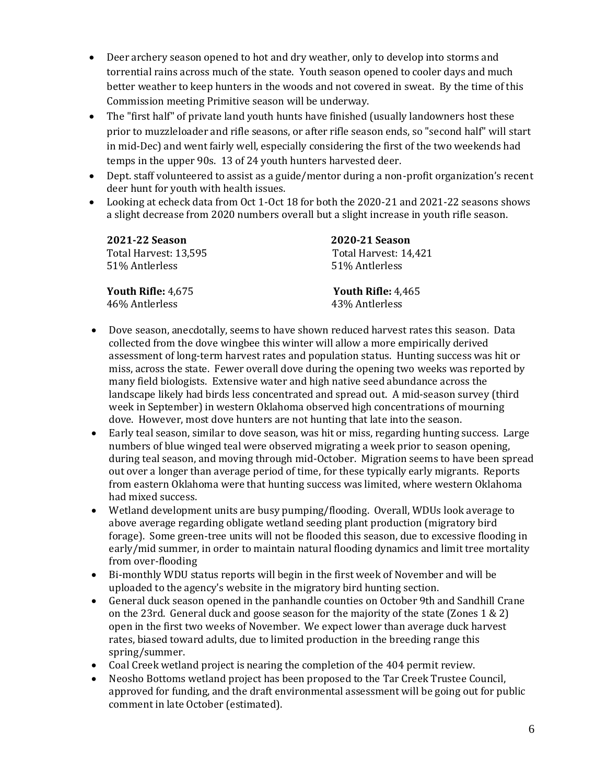- Deer archery season opened to hot and dry weather, only to develop into storms and torrential rains across much of the state. Youth season opened to cooler days and much better weather to keep hunters in the woods and not covered in sweat. By the time of this Commission meeting Primitive season will be underway.
- The "first half" of private land youth hunts have finished (usually landowners host these prior to muzzleloader and rifle seasons, or after rifle season ends, so "second half" will start in mid-Dec) and went fairly well, especially considering the first of the two weekends had temps in the upper 90s. 13 of 24 youth hunters harvested deer.
- Dept. staff volunteered to assist as a guide/mentor during a non-profit organization's recent deer hunt for youth with health issues.
- Looking at echeck data from Oct 1-Oct 18 for both the 2020-21 and 2021-22 seasons shows a slight decrease from 2020 numbers overall but a slight increase in youth rifle season.

| <b>2021-22 Season</b> | 2020-21 Season        |
|-----------------------|-----------------------|
| Total Harvest: 13,595 | Total Harvest: 14,421 |
| 51% Antlerless        | 51% Antlerless        |
| Youth Rifle: 4,675    | Youth Rifle: 4,465    |
| 46% Antlerless        | 43% Antlerless        |

- Dove season, anecdotally, seems to have shown reduced harvest rates this season. Data collected from the dove wingbee this winter will allow a more empirically derived assessment of long-term harvest rates and population status. Hunting success was hit or miss, across the state. Fewer overall dove during the opening two weeks was reported by many field biologists. Extensive water and high native seed abundance across the landscape likely had birds less concentrated and spread out. A mid-season survey (third week in September) in western Oklahoma observed high concentrations of mourning dove. However, most dove hunters are not hunting that late into the season.
- Early teal season, similar to dove season, was hit or miss, regarding hunting success. Large numbers of blue winged teal were observed migrating a week prior to season opening, during teal season, and moving through mid-October.  Migration seems to have been spread out over a longer than average period of time, for these typically early migrants.  Reports from eastern Oklahoma were that hunting success was limited, where western Oklahoma had mixed success.
- Wetland development units are busy pumping/flooding.  Overall, WDUs look average to above average regarding obligate wetland seeding plant production (migratory bird forage).  Some green-tree units will not be flooded this season, due to excessive flooding in early/mid summer, in order to maintain natural flooding dynamics and limit tree mortality from over-flooding
- Bi-monthly WDU status reports will begin in the first week of November and will be uploaded to the agency's website in the migratory bird hunting section.
- General duck season opened in the panhandle counties on October 9th and Sandhill Crane on the 23rd.  General duck and goose season for the majority of the state (Zones 1 & 2) open in the first two weeks of November.  We expect lower than average duck harvest rates, biased toward adults, due to limited production in the breeding range this spring/summer.
- Coal Creek wetland project is nearing the completion of the 404 permit review.
- Neosho Bottoms wetland project has been proposed to the Tar Creek Trustee Council, approved for funding, and the draft environmental assessment will be going out for public comment in late October (estimated).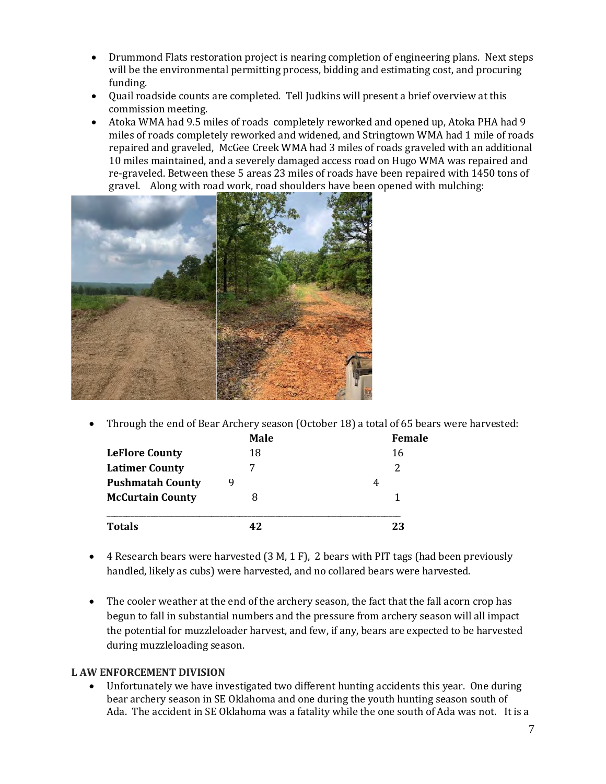- Drummond Flats restoration project is nearing completion of engineering plans. Next steps will be the environmental permitting process, bidding and estimating cost, and procuring funding.
- Quail roadside counts are completed.  Tell Judkins will present a brief overview at this commission meeting.
- Atoka WMA had 9.5 miles of roads completely reworked and opened up, Atoka PHA had 9 miles of roads completely reworked and widened, and Stringtown WMA had 1 mile of roads repaired and graveled, McGee Creek WMA had 3 miles of roads graveled with an additional 10 miles maintained, and a severely damaged access road on Hugo WMA was repaired and re-graveled. Between these 5 areas 23 miles of roads have been repaired with 1450 tons of gravel. Along with road work, road shoulders have been opened with mulching:



• Through the end of Bear Archery season (October 18) a total of 65 bears were harvested:

|                         | <b>Male</b> | Female |  |
|-------------------------|-------------|--------|--|
| <b>LeFlore County</b>   | 18          | 16     |  |
| <b>Latimer County</b>   |             |        |  |
| <b>Pushmatah County</b> |             | 4      |  |
| <b>McCurtain County</b> |             |        |  |
| <b>Totals</b>           | 49          | 23     |  |

- 4 Research bears were harvested (3 M, 1 F), 2 bears with PIT tags (had been previously handled, likely as cubs) were harvested, and no collared bears were harvested.
- The cooler weather at the end of the archery season, the fact that the fall acorn crop has begun to fall in substantial numbers and the pressure from archery season will all impact the potential for muzzleloader harvest, and few, if any, bears are expected to be harvested during muzzleloading season.

# **L AW ENFORCEMENT DIVISION**

• Unfortunately we have investigated two different hunting accidents this year. One during bear archery season in SE Oklahoma and one during the youth hunting season south of Ada. The accident in SE Oklahoma was a fatality while the one south of Ada was not. It is a